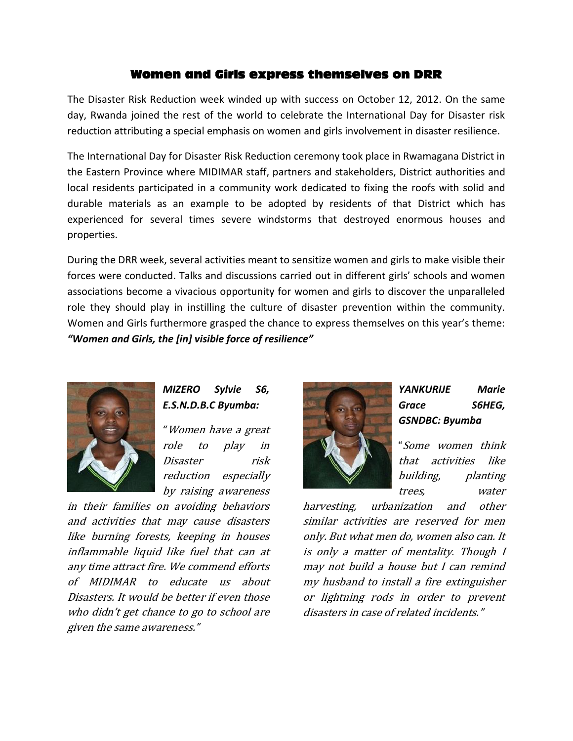#### Women and Girls express themselves on DRR

The Disaster Risk Reduction week winded up with success on October 12, 2012. On the same day, Rwanda joined the rest of the world to celebrate the International Day for Disaster risk reduction attributing a special emphasis on women and girls involvement in disaster resilience.

The International Day for Disaster Risk Reduction ceremony took place in Rwamagana District in the Eastern Province where MIDIMAR staff, partners and stakeholders, District authorities and local residents participated in a community work dedicated to fixing the roofs with solid and durable materials as an example to be adopted by residents of that District which has experienced for several times severe windstorms that destroyed enormous houses and properties.

During the DRR week, several activities meant to sensitize women and girls to make visible their forces were conducted. Talks and discussions carried out in different girls' schools and women associations become a vivacious opportunity for women and girls to discover the unparalleled role they should play in instilling the culture of disaster prevention within the community. Women and Girls furthermore grasped the chance to express themselves on this year's theme: *"Women and Girls, the [in] visible force of resilience"*



*MIZERO Sylvie S6, E.S.N.D.B.C Byumba:*

"Women have a great role to play in Disaster risk reduction especially by raising awareness

in their families on avoiding behaviors and activities that may cause disasters like burning forests, keeping in houses inflammable liquid like fuel that can at any time attract fire. We commend efforts of MIDIMAR to educate us about Disasters. It would be better if even those who didn't get chance to go to school are given the same awareness."



# *YANKURIJE Marie Grace S6HEG, GSNDBC: Byumba*

"Some women think that activities like building, planting trees, water

harvesting, urbanization and other similar activities are reserved for men only. But what men do, women also can. It is only a matter of mentality. Though I may not build a house but I can remind my husband to install a fire extinguisher or lightning rods in order to prevent disasters in case of related incidents."